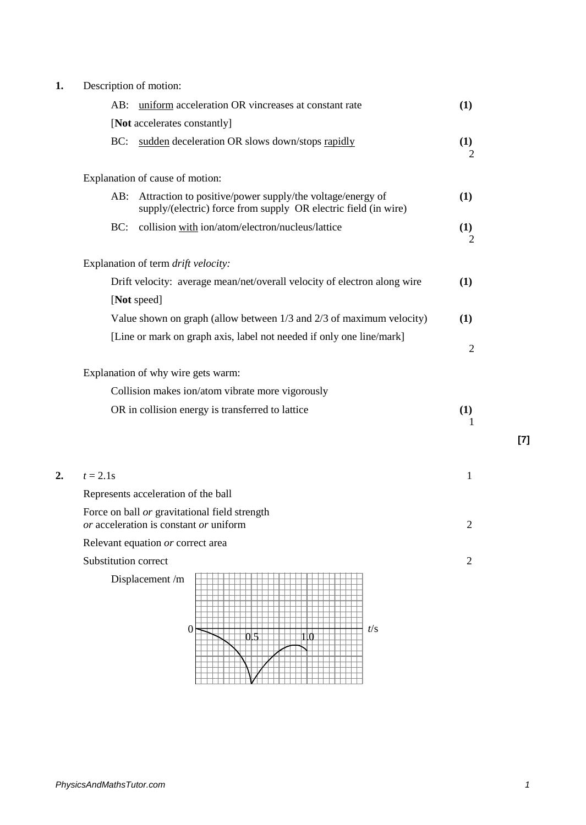| 1. | Description of motion: |  |
|----|------------------------|--|
|----|------------------------|--|

|    | $\epsilon$ berription or motion.                                                                                                       |                |
|----|----------------------------------------------------------------------------------------------------------------------------------------|----------------|
|    | uniform acceleration OR vincreases at constant rate<br>AB:                                                                             | (1)            |
|    | [Not accelerates constantly]                                                                                                           |                |
|    | sudden deceleration OR slows down/stops rapidly<br>BC:                                                                                 | (1)<br>2       |
|    | Explanation of cause of motion:                                                                                                        |                |
|    | Attraction to positive/power supply/the voltage/energy of<br>$AB$ :<br>supply/(electric) force from supply OR electric field (in wire) | (1)            |
|    | collision with ion/atom/electron/nucleus/lattice<br>BC:                                                                                | (1)<br>2       |
|    | Explanation of term drift velocity:                                                                                                    |                |
|    | Drift velocity: average mean/net/overall velocity of electron along wire                                                               | (1)            |
|    | [Not speed]                                                                                                                            |                |
|    | Value shown on graph (allow between 1/3 and 2/3 of maximum velocity)                                                                   | (1)            |
|    | [Line or mark on graph axis, label not needed if only one line/mark]                                                                   | $\overline{c}$ |
|    | Explanation of why wire gets warm:<br>Collision makes ion/atom vibrate more vigorously                                                 |                |
|    | OR in collision energy is transferred to lattice                                                                                       | (1)<br>1       |
| 2. | $t = 2.1s$                                                                                                                             | $\mathbf{1}$   |
|    | Represents acceleration of the ball                                                                                                    |                |
|    | Force on ball or gravitational field strength<br>or acceleration is constant or uniform                                                | $\overline{c}$ |
|    | Relevant equation or correct area                                                                                                      |                |
|    | Substitution correct                                                                                                                   | $\overline{2}$ |
|    | Displacement /m<br>t/s<br>$\theta$<br>$0.5\,$<br>110                                                                                   |                |

**[7]**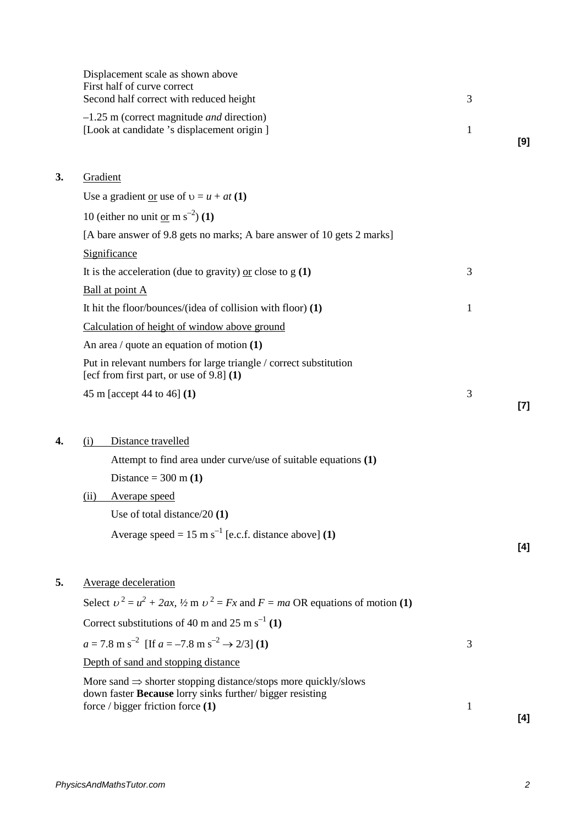|    | Displacement scale as shown above<br>First half of curve correct<br>Second half correct with reduced height      | 3 |       |
|----|------------------------------------------------------------------------------------------------------------------|---|-------|
|    | $-1.25$ m (correct magnitude <i>and</i> direction)<br>[Look at candidate 's displacement origin]                 | 1 | [9]   |
| 3. | Gradient                                                                                                         |   |       |
|    | Use a gradient <u>or</u> use of $v = u + at(1)$                                                                  |   |       |
|    | 10 (either no unit or m $s^{-2}$ ) (1)                                                                           |   |       |
|    | [A bare answer of 9.8 gets no marks; A bare answer of 10 gets 2 marks]                                           |   |       |
|    | Significance                                                                                                     |   |       |
|    | It is the acceleration (due to gravity) or close to $g(1)$                                                       | 3 |       |
|    | Ball at point A                                                                                                  |   |       |
|    | It hit the floor/bounces/(idea of collision with floor) $(1)$                                                    | 1 |       |
|    | Calculation of height of window above ground                                                                     |   |       |
|    | An area / quote an equation of motion $(1)$                                                                      |   |       |
|    | Put in relevant numbers for large triangle / correct substitution<br>[ecf from first part, or use of $9.8$ ] (1) |   |       |
|    | 45 m [accept 44 to 46] (1)                                                                                       | 3 | $[7]$ |
|    |                                                                                                                  |   |       |
| 4. | Distance travelled<br>(i)                                                                                        |   |       |
|    | Attempt to find area under curve/use of suitable equations (1)                                                   |   |       |
|    | Distance = $300 \text{ m} (1)$                                                                                   |   |       |
|    | <b>Averape speed</b><br>(ii)                                                                                     |   |       |
|    | Use of total distance/20 $(1)$                                                                                   |   |       |
|    | Average speed = $15 \text{ m s}^{-1}$ [e.c.f. distance above] (1)                                                |   | [4]   |
| 5. | <b>Average deceleration</b>                                                                                      |   |       |
|    | Select $v^2 = u^2 + 2ax$ , $\frac{1}{2}$ m $v^2 = Fx$ and $F = ma$ OR equations of motion (1)                    |   |       |
|    | Correct substitutions of 40 m and 25 m s <sup>-1</sup> (1)                                                       |   |       |
|    | $a = 7.8 \text{ m s}^{-2}$ [If $a = -7.8 \text{ m s}^{-2} \rightarrow 2/3$ ] (1)                                 | 3 |       |
|    | Depth of sand and stopping distance                                                                              |   |       |
|    | More sand $\Rightarrow$ shorter stopping distance/stops more quickly/slows                                       |   |       |
|    | down faster Because lorry sinks further/ bigger resisting<br>force $\prime$ bigger friction force $(1)$          | 1 |       |
|    |                                                                                                                  |   | [4]   |